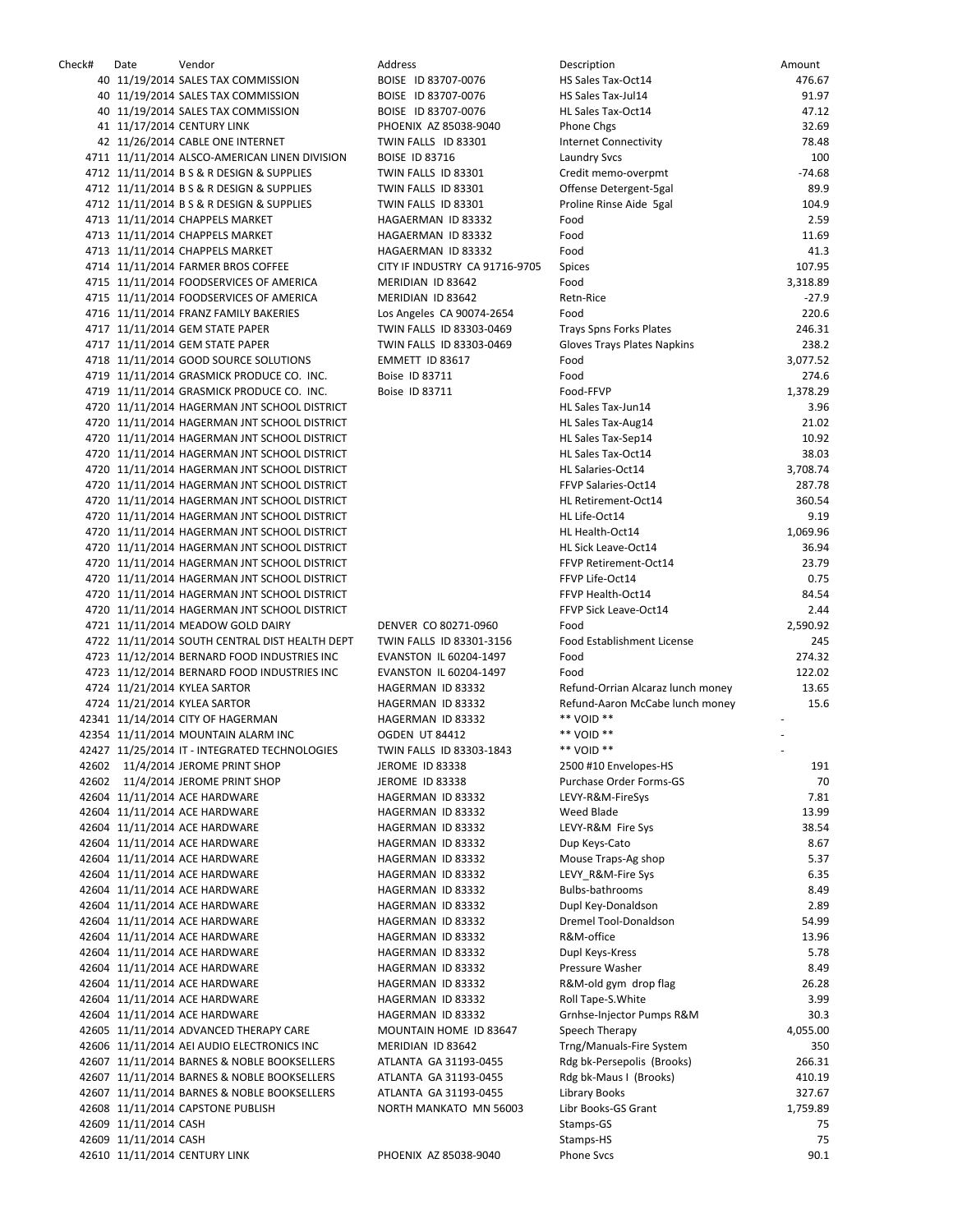Check# Date Vendor Address Description Amount 40 11/19/2014 SALES TAX COMMISSION BOISE ID 83707-0076 40 11/19/2014 SALES TAX COMMISSION BOISE ID 83707-0076 40 11/19/2014 SALES TAX COMMISSION BOISE ID 83707-0076 41 11/17/2014 CENTURY LINK PHOENIX AZ 85038-9040 42 11/26/2014 CABLE ONE INTERNET TWIN FALLS ID 83301 4711 11/11/2014 ALSCO-AMERICAN LINEN DIVISION BOISE ID 83716 4712 11/11/2014 B S & R DESIGN & SUPPLIES TWIN FALLS ID 83301 4712 11/11/2014 B S & R DESIGN & SUPPLIES TWIN FALLS ID 83301 4712 11/11/2014 B S & R DESIGN & SUPPLIES TWIN FALLS ID 83301 4713 11/11/2014 CHAPPELS MARKET HAGAERMAN ID 83332 4713 11/11/2014 CHAPPELS MARKET HAGAERMAN ID 83332 4713 11/11/2014 CHAPPELS MARKET HAGAERMAN ID 83332 4714 11/11/2014 FARMER BROS COFFEE CITY IF INDUSTRY CA 91716-9705 4715 11/11/2014 FOODSERVICES OF AMERICA MERIDIAN ID 83642 4715 11/11/2014 FOODSERVICES OF AMERICA MERIDIAN ID 83642 4716 11/11/2014 FRANZ FAMILY BAKERIES Los Angeles CA 90074-2654 4717 11/11/2014 GEM STATE PAPER TWIN FALLS ID 83303-0469 4717 11/11/2014 GEM STATE PAPER TWIN FALLS ID 83303-0469 4718 11/11/2014 GOOD SOURCE SOLUTIONS EMMETT ID 83617 4719 11/11/2014 GRASMICK PRODUCE CO. INC. Boise ID 83711 4719 11/11/2014 GRASMICK PRODUCE CO. INC. Boise ID 83711 4720 11/11/2014 HAGERMAN JNT SCHOOL DISTRICT 4720 11/11/2014 HAGERMAN JNT SCHOOL DISTRICT 4720 11/11/2014 HAGERMAN JNT SCHOOL DISTRICT 4720 11/11/2014 HAGERMAN JNT SCHOOL DISTRICT 4720 11/11/2014 HAGERMAN JNT SCHOOL DISTRICT 4720 11/11/2014 HAGERMAN JNT SCHOOL DISTRICT 4720 11/11/2014 HAGERMAN JNT SCHOOL DISTRICT 4720 11/11/2014 HAGERMAN JNT SCHOOL DISTRICT 4720 11/11/2014 HAGERMAN JNT SCHOOL DISTRICT 4720 11/11/2014 HAGERMAN JNT SCHOOL DISTRICT 4720 11/11/2014 HAGERMAN JNT SCHOOL DISTRICT 4720 11/11/2014 HAGERMAN JNT SCHOOL DISTRICT 4720 11/11/2014 HAGERMAN JNT SCHOOL DISTRICT 4720 11/11/2014 HAGERMAN JNT SCHOOL DISTRICT 4721 11/11/2014 MEADOW GOLD DAIRY DENVER CO 80271-0960 4722 11/11/2014 SOUTH CENTRAL DIST HEALTH DEPT TWIN FALLS ID 83301-3156 4723 11/12/2014 BERNARD FOOD INDUSTRIES INC EVANSTON IL 60204-1497 4723 11/12/2014 BERNARD FOOD INDUSTRIES INC EVANSTON IL 60204-1497 4724 11/21/2014 KYLEA SARTOR **HAGERMAN ID 83332** 4724 11/21/2014 KYLEA SARTOR HAGERMAN ID 83332 42341 11/14/2014 CITY OF HAGERMAN HAGERMAN ID 83332 42354 11/11/2014 MOUNTAIN ALARM INC VOID TO B4412 42427 11/25/2014 IT - INTEGRATED TECHNOLOGIES TWIN FALLS ID 83303-1843 42602 11/4/2014 JEROME PRINT SHOP JEROME ID 83338 42602 11/4/2014 JEROME PRINT SHOP JEROME ID 83338 42604 11/11/2014 ACE HARDWARE HAGERMAN ID 83332 42604 11/11/2014 ACE HARDWARE HAGERMAN ID 83332 42604 11/11/2014 ACE HARDWARE HAGERMAN ID 83332 42604 11/11/2014 ACE HARDWARE HAGERMAN ID 83332 42604 11/11/2014 ACE HARDWARE HAGERMAN ID 83332 42604 11/11/2014 ACE HARDWARE HAGERMAN ID 83332 42604 11/11/2014 ACE HARDWARE HAGERMAN ID 83332 42604 11/11/2014 ACE HARDWARE HAGERMAN ID 83332 42604 11/11/2014 ACE HARDWARE HAGERMAN ID 83332 42604 11/11/2014 ACE HARDWARE HAGERMAN ID 83332 42604 11/11/2014 ACE HARDWARE HAGERMAN ID 83332 42604 11/11/2014 ACE HARDWARE HAGERMAN ID 83332 42604 11/11/2014 ACE HARDWARE HAGERMAN ID 83332 42604 11/11/2014 ACE HARDWARE HAGERMAN ID 83332 42604 11/11/2014 ACE HARDWARE HAGERMAN ID 83332 42605 11/11/2014 ADVANCED THERAPY CARE MOUNTAIN HOME ID 83647 42606 11/11/2014 AEI AUDIO ELECTRONICS INC MERIDIAN ID 83642 42607 11/11/2014 BARNES & NOBLE BOOKSELLERS ATLANTA GA 31193-0455 42607 11/11/2014 BARNES & NOBLE BOOKSELLERS ATLANTA GA 31193-0455 42607 11/11/2014 BARNES & NOBLE BOOKSELLERS ATLANTA GA 31193-0455 42608 11/11/2014 CAPSTONE PUBLISH NORTH MANKATO MN 56003 42609 11/11/2014 CASH 42609 11/11/2014 CASH 42610 11/11/2014 CENTURY LINK PHOENIX AZ 85038-9040

| Description                                                          | Amount           |
|----------------------------------------------------------------------|------------------|
| HS Sales Tax-Oct14                                                   | 476.67           |
| HS Sales Tax-Jul14                                                   | 91.97            |
| HL Sales Tax-Oct14                                                   | 47.12            |
| Phone Chgs                                                           | 32.69            |
| <b>Internet Connectivity</b>                                         | 78.48            |
| <b>Laundry Svcs</b><br>Credit memo-overpmt                           | 100<br>$-74.68$  |
| Offense Detergent-5gal                                               | 89.9             |
| Proline Rinse Aide 5gal                                              | 104.9            |
| Food                                                                 | 2.59             |
| Food                                                                 | 11.69            |
| Food                                                                 | 41.3             |
| Spices                                                               | 107.95           |
| Food                                                                 | 3,318.89         |
| Retn-Rice                                                            | $-27.9$          |
| Food                                                                 | 220.6            |
| Trays Spns Forks Plates<br>Gloves Trays Plates Napkins               | 246.31<br>238.2  |
| Food                                                                 | 3,077.52         |
| Food                                                                 | 274.6            |
| Food-FFVP                                                            | 1,378.29         |
| HL Sales Tax-Jun14                                                   | 3.96             |
| HL Sales Tax-Aug14                                                   | 21.02            |
| HL Sales Tax-Sep14                                                   | 10.92            |
| HL Sales Tax-Oct14                                                   | 38.03            |
| HL Salaries-Oct14                                                    | 3,708.74         |
| FFVP Salaries-Oct14                                                  | 287.78           |
| HL Retirement-Oct14                                                  | 360.54           |
| HL Life-Oct14<br>HL Health-Oct14                                     | 9.19<br>1,069.96 |
| HL Sick Leave-Oct14                                                  | 36.94            |
| FFVP Retirement-Oct14                                                | 23.79            |
| FFVP Life-Oct14                                                      | 0.75             |
| FFVP Health-Oct14                                                    | 84.54            |
| FFVP Sick Leave-Oct14                                                | 2.44             |
| Food                                                                 | 2,590.92         |
| <b>Food Establishment License</b>                                    | 245              |
| Food                                                                 | 274.32           |
| Food                                                                 | 122.02           |
| Refund-Orrian Alcaraz lunch money<br>Refund-Aaron McCabe lunch money | 13.65<br>15.6    |
| ** VOID **                                                           |                  |
| ** VOID **                                                           |                  |
| ** VOID **                                                           |                  |
| 2500 #10 Envelopes-HS                                                | 191              |
| Purchase Order Forms-GS                                              | 70               |
| LEVY-R&M-FireSys                                                     | 7.81             |
| Weed Blade                                                           | 13.99            |
| LEVY-R&M Fire Sys                                                    | 38.54            |
| Dup Keys-Cato<br>Mouse Traps-Ag shop                                 | 8.67<br>5.37     |
| LEVY_R&M-Fire Sys                                                    | 6.35             |
| <b>Bulbs-bathrooms</b>                                               | 8.49             |
| Dupl Key-Donaldson                                                   | 2.89             |
| <b>Dremel Tool-Donaldson</b>                                         | 54.99            |
| R&M-office                                                           | 13.96            |
| Dupl Keys-Kress                                                      | 5.78             |
| Pressure Washer                                                      | 8.49             |
| R&M-old gym drop flag                                                | 26.28            |
| Roll Tape-S.White                                                    | 3.99             |
| Grnhse-Injector Pumps R&M                                            | 30.3             |
| Speech Therapy<br>Trng/Manuals-Fire System                           | 4,055.00<br>350  |
| Rdg bk-Persepolis (Brooks)                                           | 266.31           |
| Rdg bk-Maus I (Brooks)                                               | 410.19           |
| <b>Library Books</b>                                                 | 327.67           |
| Libr Books-GS Grant                                                  | 1,759.89         |
| Stamps-GS                                                            | 75               |
| Stamps-HS                                                            | 75               |
| <b>Phone Sycs</b>                                                    | 90.1             |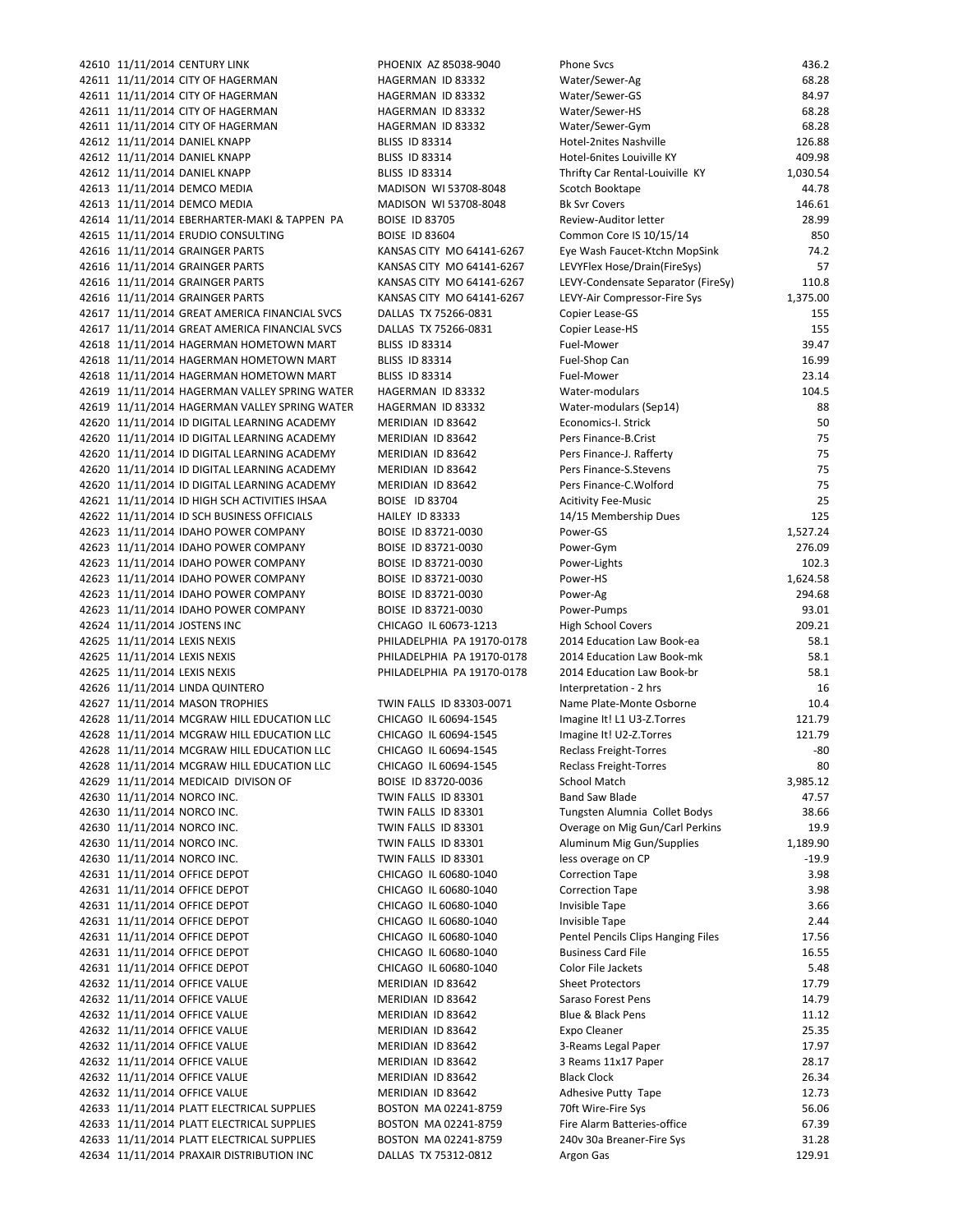42610 11/11/2014 CENTURY LINK PHOENIX AZ 85038-9040 42611 11/11/2014 CITY OF HAGERMAN HAGERMAN ID 83332 42611 11/11/2014 CITY OF HAGERMAN HAGERMAN ID 83332 42611 11/11/2014 CITY OF HAGERMAN HAGERMAN HAGERMAN ID 83332 42611 11/11/2014 CITY OF HAGERMAN HAGERMAN ID 83332 42612 11/11/2014 DANIEL KNAPP BLISS ID 83314 42612 11/11/2014 DANIEL KNAPP BLISS ID 83314 42612 11/11/2014 DANIEL KNAPP BLISS ID 83314 42613 11/11/2014 DEMCO MEDIA MADISON WI 53708-8048 42613 11/11/2014 DEMCO MEDIA MADISON WI 53708-8048 42614 11/11/2014 EBERHARTER-MAKI & TAPPEN PA BOISE ID 83705 42615 11/11/2014 ERUDIO CONSULTING BOISE ID 83604 42616 11/11/2014 GRAINGER PARTS KANSAS CITY MO 64141-6267 42616 11/11/2014 GRAINGER PARTS KANSAS CITY MO 64141-6267 42616 11/11/2014 GRAINGER PARTS KANSAS CITY MO 64141-6267 42616 11/11/2014 GRAINGER PARTS KANSAS CITY MO 64141-6267 42617 11/11/2014 GREAT AMERICA FINANCIAL SVCS DALLAS TX 75266-0831 42617 11/11/2014 GREAT AMERICA FINANCIAL SVCS DALLAS TX 75266-0831 42618 11/11/2014 HAGERMAN HOMETOWN MART BLISS ID 83314 42618 11/11/2014 HAGERMAN HOMETOWN MART BLISS ID 83314 42618 11/11/2014 HAGERMAN HOMETOWN MART BLISS ID 83314 42619 11/11/2014 HAGERMAN VALLEY SPRING WATER HAGERMAN ID 83332 42619 11/11/2014 HAGERMAN VALLEY SPRING WATER HAGERMAN ID 83332 42620 11/11/2014 ID DIGITAL LEARNING ACADEMY MERIDIAN ID 83642 42620 11/11/2014 ID DIGITAL LEARNING ACADEMY MERIDIAN ID 83642 42620 11/11/2014 ID DIGITAL LEARNING ACADEMY MERIDIAN ID 83642 42620 11/11/2014 ID DIGITAL LEARNING ACADEMY MERIDIAN ID 83642 42620 11/11/2014 ID DIGITAL LEARNING ACADEMY MERIDIAN ID 83642 42621 11/11/2014 ID HIGH SCH ACTIVITIES IHSAA BOISE ID 83704 42622 11/11/2014 ID SCH BUSINESS OFFICIALS HAILEY ID 83333 42623 11/11/2014 IDAHO POWER COMPANY BOISE ID 83721-0030 42623 11/11/2014 IDAHO POWER COMPANY BOISE ID 83721-0030 42623 11/11/2014 IDAHO POWER COMPANY BOISE ID 83721-0030 42623 11/11/2014 IDAHO POWER COMPANY BOISE ID 83721-0030 42623 11/11/2014 IDAHO POWER COMPANY BOISE ID 83721-0030 42623 11/11/2014 IDAHO POWER COMPANY BOISE ID 83721-0030 42624 11/11/2014 JOSTENS INC CHICAGO IL 60673-1213 42625 11/11/2014 LEXIS NEXIS **PHILADELPHIA PA 19170-0178** 42625 11/11/2014 LEXIS NEXIS **PHILADELPHIA PA 19170-0178** 42625 11/11/2014 LEXIS NEXIS **PHILADELPHIA PA 19170-0178** 42626 11/11/2014 LINDA QUINTERO 42627 11/11/2014 MASON TROPHIES TWIN FALLS ID 83303-0071 42628 11/11/2014 MCGRAW HILL EDUCATION LLC CHICAGO IL 60694-1545 42628 11/11/2014 MCGRAW HILL EDUCATION LLC CHICAGO IL 60694-1545 42628 11/11/2014 MCGRAW HILL EDUCATION LLC CHICAGO IL 60694-1545 42628 11/11/2014 MCGRAW HILL EDUCATION LLC CHICAGO IL 60694-1545 42629 11/11/2014 MEDICAID DIVISON OF BOISE ID 83720-0036 42630 11/11/2014 NORCO INC. TWIN FALLS ID 83301 42630 11/11/2014 NORCO INC. TWIN FALLS ID 83301 42630 11/11/2014 NORCO INC. TWIN FALLS ID 83301 42630 11/11/2014 NORCO INC. TWIN FALLS ID 83301 42630 11/11/2014 NORCO INC. TWIN FALLS ID 83301 42631 11/11/2014 OFFICE DEPOT CHICAGO IL 60680-1040 42631 11/11/2014 OFFICE DEPOT CHICAGO IL 60680-1040 42631 11/11/2014 OFFICE DEPOT CHICAGO IL 60680-1040 42631 11/11/2014 OFFICE DEPOT CHICAGO IL 60680-1040 42631 11/11/2014 OFFICE DEPOT CHICAGO IL 60680-1040 42631 11/11/2014 OFFICE DEPOT CHICAGO IL 60680-1040 42631 11/11/2014 OFFICE DEPOT CHICAGO IL 60680-1040 42632 11/11/2014 OFFICE VALUE MERIDIAN ID 83642 42632 11/11/2014 OFFICE VALUE MERIDIAN ID 83642 42632 11/11/2014 OFFICE VALUE MERIDIAN ID 83642 42632 11/11/2014 OFFICE VALUE MERIDIAN ID 83642 42632 11/11/2014 OFFICE VALUE MERIDIAN ID 83642 42632 11/11/2014 OFFICE VALUE MERIDIAN ID 83642 42632 11/11/2014 OFFICE VALUE MERIDIAN ID 83642 42632 11/11/2014 OFFICE VALUE MERIDIAN ID 83642 42633 11/11/2014 PLATT ELECTRICAL SUPPLIES BOSTON MA 02241-8759 42633 11/11/2014 PLATT ELECTRICAL SUPPLIES BOSTON MA 02241-8759 42633 11/11/2014 PLATT ELECTRICAL SUPPLIES BOSTON MA 02241-8759 42634 11/11/2014 PRAXAIR DISTRIBUTION INC DALLAS TX 75312-0812

| Phone Svcs                                               | 436.2            |
|----------------------------------------------------------|------------------|
| Water/Sewer-Ag                                           | 68.28            |
| Water/Sewer-GS                                           | 84.97            |
| Water/Sewer-HS                                           | 68.28            |
| Water/Sewer-Gym                                          | 68.28            |
| Hotel-2nites Nashville<br>Hotel-6nites Louiville KY      | 126.88<br>409.98 |
| Thrifty Car Rental-Louiville KY                          | 1,030.54         |
| Scotch Booktape                                          | 44.78            |
| <b>Bk Svr Covers</b>                                     | 146.61           |
| Review-Auditor letter                                    | 28.99            |
| Common Core IS 10/15/14                                  | 850              |
| Eye Wash Faucet-Ktchn MopSink                            | 74.2             |
| LEVYFlex Hose/Drain(FireSys)                             | 57               |
| LEVY-Condensate Separator (FireSy)                       | 110.8            |
| LEVY-Air Compressor-Fire Sys                             | 1,375.00         |
| Copier Lease-GS                                          | 155              |
| Copier Lease-HS                                          | 155              |
| Fuel-Mower                                               | 39.47            |
| Fuel-Shop Can                                            | 16.99            |
| Fuel-Mower<br>Water-modulars                             | 23.14<br>104.5   |
| Water-modulars (Sep14)                                   | 88               |
| Economics-I. Strick                                      | 50               |
| Pers Finance-B.Crist                                     | 75               |
| Pers Finance-J. Rafferty                                 | 75               |
| Pers Finance-S.Stevens                                   | 75               |
| Pers Finance-C.Wolford                                   | 75               |
| <b>Acitivity Fee-Music</b>                               | 25               |
| 14/15 Membership Dues                                    | 125              |
| Power-GS                                                 | 1,527.24         |
| Power-Gym                                                | 276.09           |
| Power-Lights                                             | 102.3            |
| Power-HS                                                 | 1,624.58         |
| Power-Ag                                                 | 294.68           |
| Power-Pumps                                              | 93.01            |
| <b>High School Covers</b><br>2014 Education Law Book-ea  | 209.21<br>58.1   |
| 2014 Education Law Book-mk                               | 58.1             |
| 2014 Education Law Book-br                               | 58.1             |
| Interpretation - 2 hrs                                   | 16               |
| Name Plate-Monte Osborne                                 | 10.4             |
| magine It! L1 U3-Z.Torres                                | 121.79           |
| magine It! U2-Z.Torres                                   | 121.79           |
| Reclass Freight-Torres                                   | -80              |
| Reclass Freight-Torres                                   | 80               |
| School Match                                             | 3,985.12         |
| Band Saw Blade                                           | 47.57            |
| Tungsten Alumnia Collet Bodys                            | 38.66            |
| Overage on Mig Gun/Carl Perkins                          | 19.9             |
| Aluminum Mig Gun/Supplies                                | 1,189.90         |
| ess overage on CP                                        | $-19.9$<br>3.98  |
| Correction Tape                                          | 3.98             |
| Correction Tape<br>nvisible Tape                         | 3.66             |
| nvisible Tape                                            | 2.44             |
| Pentel Pencils Clips Hanging Files                       | 17.56            |
| Business Card File                                       | 16.55            |
| Color File Jackets                                       | 5.48             |
| Sheet Protectors                                         | 17.79            |
| Saraso Forest Pens                                       | 14.79            |
| Blue & Black Pens                                        | 11.12            |
| Expo Cleaner                                             | 25.35            |
| 3-Reams Legal Paper                                      | 17.97            |
| 3 Reams 11x17 Paper                                      | 28.17            |
| Black Clock                                              | 26.34            |
| Adhesive Putty Tape                                      | 12.73            |
| 70ft Wire-Fire Sys                                       | 56.06            |
| Fire Alarm Batteries-office<br>240v 30a Breaner-Fire Sys | 67.39<br>31.28   |
| Argon Gas                                                | 129.91           |
|                                                          |                  |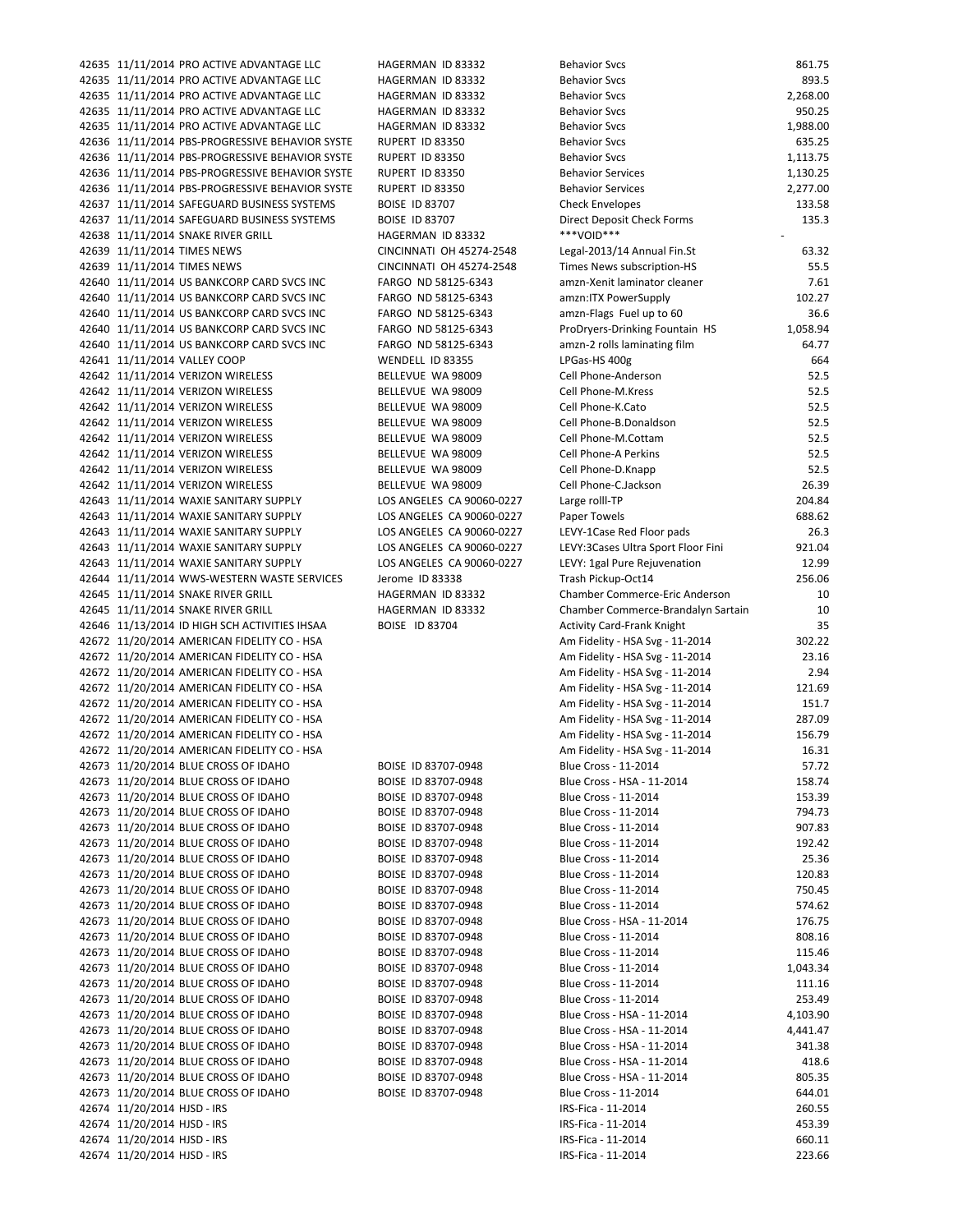42635 11/11/2014 PRO ACTIVE ADVANTAGE LLC HAGERMAN ID 83332 B 42635 11/11/2014 PRO ACTIVE ADVANTAGE LLC HAGERMAN ID 83332 B 42635 11/11/2014 PRO ACTIVE ADVANTAGE LLC HAGERMAN ID 83332 B 42635 11/11/2014 PRO ACTIVE ADVANTAGE LLC HAGERMAN ID 83332 42636 11/11/2014 PBS-PROGRESSIVE BEHAVIOR SYSTE RUPERT ID 83350 B 42636 11/11/2014 PBS-PROGRESSIVE BEHAVIOR SYSTE RUPERT ID 83350 Behavior Superintent States 42636 11/11/2014 PBS-PROGRESSIVE BEHAVIOR SYSTE RUPERT ID 83350 Behavior Services 1,130.257 Behavior Services 42636 11/11/2014 PBS-PROGRESSIVE BEHAVIOR SYSTE RUPERT ID 83350 Behavior Services 2,277.000 B 42637 11/11/2014 SAFEGUARD BUSINESS SYSTEMS BOISE ID 83707 CHECK ENVIROPES 13 42637 11/11/2014 SAFEGUARD BUSINESS SYSTEMS BOISE ID 83707 DIRECT DEPOSITEMENT CHECK FOR DIRECT DEPOSITEMENT CH 42638 11/11/2014 SNAKE RIVER GRILL HAGERMAN ID 83332 42639 11/11/2014 TIMES NEWS CINCINNATI OH 45274-2548 L 42639 11/11/2014 TIMES NEWS CINCINNATI OH 45274-2548 T 42640 11/11/2014 US BANKCORP CARD SVCS INC FARGO ND 58125-6343 am 42640 11/11/2014 US BANKCORP CARD SVCS INC FARGO ND 58125-6343 am 42640 11/11/2014 US BANKCORP CARD SVCS INC FARGO ND 58125-6343 am 42640 11/11/2014 US BANKCORP CARD SVCS INC FARGO ND 58125-6343 P 42640 11/11/2014 US BANKCORP CARD SVCS INC FARGO ND 58125-6343 am 42641 11/11/2014 VALLEY COOP WENDELL ID 83355 42642 11/11/2014 VERIZON WIRELESS BELLEVUE WA 98009 C 42642 11/11/2014 VERIZON WIRELESS BELLEVUE WA 98009 42642 11/11/2014 VERIZON WIRELESS BELLEVUE WA 98009 C 42642 11/11/2014 VERIZON WIRELESS BELLEVUE WA 98009 C 42642 11/11/2014 VERIZON WIRELESS BELLEVUE WA 98009 C 42642 11/11/2014 VERIZON WIRELESS BELLEVUE WA 98009 C 42642 11/11/2014 VERIZON WIRELESS BELLEVUE WA 98009 C 42642 11/11/2014 VERIZON WIRELESS BELLEVUE WA 98009 C 42643 11/11/2014 WAXIE SANITARY SUPPLY LOS ANGELES CA 90060-0227 L 42643 11/11/2014 WAXIE SANITARY SUPPLY LOS ANGELES CA 90060-0227 Paper Towels 688. 42643 11/11/2014 WAXIE SANITARY SUPPLY LOS ANGELES CA 90060-0227 L 42643 11/11/2014 WAXIE SANITARY SUPPLY LOS ANGELES CA 90060-0227 L 42643 11/11/2014 WAXIE SANITARY SUPPLY LOS ANGELES CA 90060-0227 L 42644 11/11/2014 WWS-WESTERN WASTE SERVICES Jerome ID 83338 42645 11/11/2014 SNAKE RIVER GRILL HAGERMAN ID 83332 C 42645 11/11/2014 SNAKE RIVER GRILL HAGERMAN ID 83332 C  $42646$   $11/13/2014$  ID HIGH SCH ACTIVITIES IHSAA BOISE ID 83704  $\beta$ 42672 11/20/2014 AMERICAN FIDELITY CO - HSA American Superior Co 11/2012 11/2012 42672 11/20/2014 AMERICAN FIDELITY CO - HSA 42672 11/20/2014 AMERICAN FIDELITY CO - HSA 42672 11/20/2014 AMERICAN FIDELITY CO - HSA 42672 11/20/2014 AMERICAN FIDELITY CO - HSA 42672 11/20/2014 AMERICAN FIDELITY CO - HSA 42672 11/20/2014 AMERICAN FIDELITY CO - HSA 42672 11/20/2014 AMERICAN FIDELITY CO - HSA 42673 11/20/2014 BLUE CROSS OF IDAHO BOISE ID 83707-0948 B 42673 11/20/2014 BLUE CROSS OF IDAHO BOISE ID 83707-0948 B 42673 11/20/2014 BLUE CROSS OF IDAHO BOISE ID 83707-0948 BLUE CROSS OF IDAHO 42673 11/20/2014 BLUE CROSS OF IDAHO BOISE ID 83707-0948 BOISE ID 83707-0948 42673 11/20/2014 BLUE CROSS OF IDAHO BOISE ID 83707-0948 B 42673 11/20/2014 BLUE CROSS OF IDAHO BOISE ID 83707-0948 B 42673 11/20/2014 BLUE CROSS OF IDAHO BOISE ID 83707-0948 B 42673 11/20/2014 BLUE CROSS OF IDAHO BOISE ID 83707-0948 B 42673 11/20/2014 BLUE CROSS OF IDAHO BOISE ID 83707-0948 B 42673 11/20/2014 BLUE CROSS OF IDAHO BOISE ID 83707-0948 BLUE CROSS OF IDAHO 42673 11/20/2014 BLUE CROSS OF IDAHO BOISE ID 83707-0948 B 42673 11/20/2014 BLUE CROSS OF IDAHO BOISE ID 83707-0948 B 42673 11/20/2014 BLUE CROSS OF IDAHO BOISE ID 83707-0948 B 42673 11/20/2014 BLUE CROSS OF IDAHO BOISE ID 83707-0948 BLUE CROSS OF IDAHO 42673 11/20/2014 BLUE CROSS OF IDAHO BOISE ID 83707-0948 BOISE ID 83707-0948 42673 11/20/2014 BLUE CROSS OF IDAHO BOISE ID 83707-0948 B 42673 11/20/2014 BLUE CROSS OF IDAHO BOISE ID 83707-0948 B 42673 11/20/2014 BLUE CROSS OF IDAHO BOISE ID 83707-0948 B 42673 11/20/2014 BLUE CROSS OF IDAHO BOISE ID 83707-0948 B 42673 11/20/2014 BLUE CROSS OF IDAHO BOISE ID 83707-0948 B 42673 11/20/2014 BLUE CROSS OF IDAHO BOISE ID 83707-0948 B 42673 11/20/2014 BLUE CROSS OF IDAHO BOISE ID 83707-0948 B 42674 11/20/2014 HJSD - IRS IRS 42674 11/20/2014 HJSD - IRS IRS 42674 11/20/2014 HJSD - IRS IRS I 42674 11/20/2014 HJSD - IRS IRS

42635 11/11/2014 PRO ACTIVE ADVANTAGE LLC HAGERMAN ID 83332 Behavior Svcs 861.75

| oenaviol Svcs                       | 001.7J   |
|-------------------------------------|----------|
| Behavior Svcs                       | 893.5    |
| Behavior Svcs                       | 2,268.00 |
|                                     |          |
| Behavior Svcs                       | 950.25   |
| Behavior Svcs                       | 1,988.00 |
| Behavior Svcs                       | 635.25   |
| Behavior Svcs                       | 1,113.75 |
|                                     |          |
| Behavior Services                   | 1,130.25 |
| Behavior Services                   | 2,277.00 |
| <b>Check Envelopes</b>              | 133.58   |
|                                     |          |
| Direct Deposit Check Forms          | 135.3    |
| ***VOID***                          |          |
| egal-2013/14 Annual Fin.St.         | 63.32    |
| Times News subscription-HS          | 55.5     |
|                                     |          |
| ımzn-Xenit laminator cleaner        | 7.61     |
| imzn:ITX PowerSupply                | 102.27   |
| mzn-Flags Fuel up to 60             | 36.6     |
|                                     |          |
| ProDryers-Drinking Fountain HS      | 1,058.94 |
| mzn-2 rolls laminating film         | 64.77    |
| PGas-HS 400g                        | 664      |
| Cell Phone-Anderson                 | 52.5     |
|                                     |          |
| Cell Phone-M.Kress                  | 52.5     |
| Cell Phone-K.Cato                   | 52.5     |
| Cell Phone-B.Donaldson              | 52.5     |
|                                     |          |
| Cell Phone-M.Cottam                 | 52.5     |
| Cell Phone-A Perkins                | 52.5     |
| Cell Phone-D.Knapp                  | 52.5     |
|                                     |          |
| Cell Phone-C.Jackson                | 26.39    |
| arge rolll-TP.                      | 204.84   |
| aper Towels                         | 688.62   |
|                                     |          |
| EVY-1Case Red Floor pads            | 26.3     |
| EVY:3Cases Ultra Sport Floor Fini.  | 921.04   |
| EVY: 1gal Pure Rejuvenation         | 12.99    |
|                                     |          |
| Frash Pickup-Oct14                  | 256.06   |
| Chamber Commerce-Eric Anderson      | 10       |
| Chamber Commerce-Brandalyn Sartain  | 10       |
| Activity Card-Frank Knight          | 35       |
|                                     |          |
| 4 - Am Fidelity - HSA Svg - 11-2014 | 302.22   |
| 4 - Am Fidelity - HSA Svg - 11-2014 | 23.16    |
| Am Fidelity - HSA Svg - 11-2014     | 2.94     |
|                                     |          |
| 4 - Am Fidelity - HSA Svg - 11-2014 | 121.69   |
| 4 - Am Fidelity - HSA Svg - 11-2014 | 151.7    |
| Am Fidelity - HSA Svg - 11-2014     | 287.09   |
|                                     |          |
| 4 - Am Fidelity - HSA Svg - 11-2014 | 156.79   |
| Am Fidelity - HSA Svg - 11-2014     | 16.31    |
| 3lue Cross - 11-2014                | 57.72    |
| 3lue Cross - HSA - 11-2014          | 158.74   |
|                                     |          |
| 3lue Cross - 11-2014                | 153.39   |
| 3lue Cross - 11-2014                | 794.73   |
| Blue Cross - 11-2014                | 907.83   |
|                                     |          |
| Blue Cross - 11-2014                | 192.42   |
| 3lue Cross - 11-2014                | 25.36    |
| 3lue Cross - 11-2014                | 120.83   |
|                                     |          |
| 3lue Cross - 11-2014                | 750.45   |
| 3lue Cross - 11-2014                | 574.62   |
| 3lue Cross - HSA - 11-2014          | 176.75   |
|                                     |          |
| 3lue Cross - 11-2014                | 808.16   |
| 3lue Cross - 11-2014                | 115.46   |
| Blue Cross - 11-2014                | 1,043.34 |
| 3lue Cross - 11-2014                | 111.16   |
|                                     |          |
| 3lue Cross - 11-2014                | 253.49   |
| Blue Cross - HSA - 11-2014          | 4,103.90 |
| 3lue Cross - HSA - 11-2014          | 4,441.47 |
|                                     |          |
| 3lue Cross - HSA - 11-2014          | 341.38   |
| 3lue Cross - HSA - 11-2014          | 418.6    |
| 3lue Cross - HSA - 11-2014          | 805.35   |
|                                     |          |
| 3lue Cross - 11-2014                | 644.01   |
| RS-Fica - 11-2014                   | 260.55   |
| RS-Fica - 11-2014                   | 453.39   |
|                                     |          |
| RS-Fica - 11-2014                   | 660.11   |
| RS-Fica - 11-2014                   | 223.66   |
|                                     |          |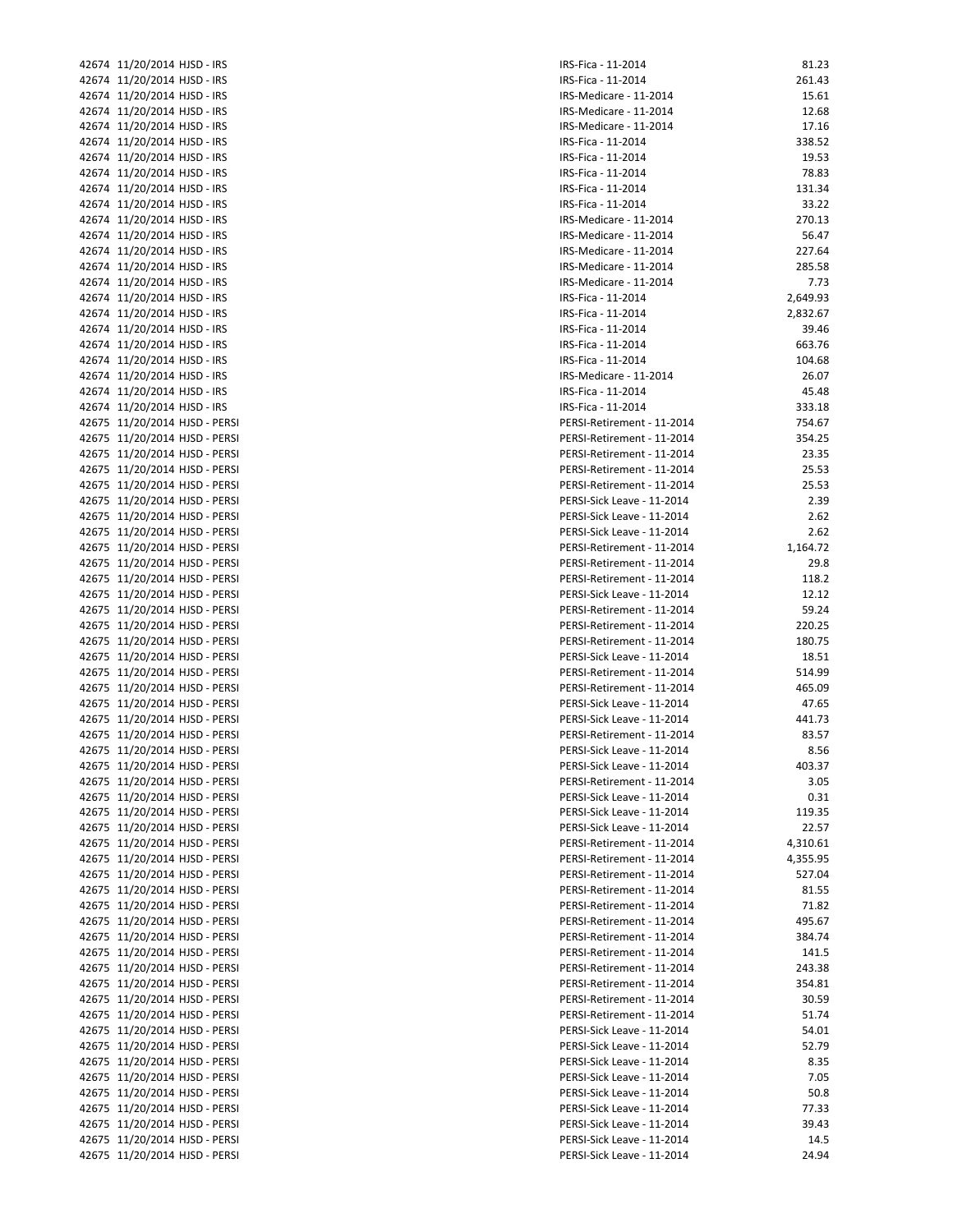| 42674 11/20/2014 HJSD - IRS   | IRS-Fi       |
|-------------------------------|--------------|
| 42674 11/20/2014 HJSD - IRS   | IRS-Fi       |
| 42674 11/20/2014 HJSD - IRS   | IRS-M        |
| 42674 11/20/2014 HJSD - IRS   | IRS-M        |
| 42674 11/20/2014 HJSD - IRS   | IRS-M        |
| 42674 11/20/2014 HJSD - IRS   | IRS-Fi       |
| 42674 11/20/2014 HJSD - IRS   | IRS-Fi       |
|                               |              |
| 42674 11/20/2014 HJSD - IRS   | IRS-Fi       |
| 42674 11/20/2014 HJSD - IRS   | IRS-Fi       |
| 42674 11/20/2014 HJSD - IRS   | IRS-Fi       |
| 42674 11/20/2014 HJSD - IRS   | IRS-M        |
| 42674 11/20/2014 HJSD - IRS   | IRS-M        |
| 42674 11/20/2014 HJSD - IRS   | IRS-M        |
| 42674 11/20/2014 HJSD - IRS   | IRS-M        |
| 42674 11/20/2014 HJSD - IRS   | IRS-M        |
| 42674 11/20/2014 HJSD - IRS   | IRS-Fi       |
| 42674 11/20/2014 HJSD - IRS   | IRS-Fi       |
|                               |              |
| 42674 11/20/2014 HJSD - IRS   | IRS-Fi       |
| 42674 11/20/2014 HJSD - IRS   | IRS-Fi       |
| 42674 11/20/2014 HJSD - IRS   | IRS-Fi       |
| 42674 11/20/2014 HJSD - IRS   | IRS-M        |
| 42674 11/20/2014 HJSD - IRS   | IRS-Fi       |
| 42674 11/20/2014 HJSD - IRS   | IRS-Fi       |
| 42675 11/20/2014 HJSD - PERSI | <b>PERSI</b> |
| 42675 11/20/2014 HJSD - PERSI | PERSI        |
| 42675 11/20/2014 HJSD - PERSI | PERSI        |
| 42675 11/20/2014 HJSD - PERSI | PERSI        |
| 42675 11/20/2014 HJSD - PERSI | PERSI        |
| 42675 11/20/2014 HJSD - PERSI |              |
|                               | PERSI        |
| 42675 11/20/2014 HJSD - PERSI | PERSI        |
| 42675 11/20/2014 HJSD - PERSI | <b>PERSI</b> |
| 42675 11/20/2014 HJSD - PERSI | PERSI        |
| 42675 11/20/2014 HJSD - PERSI | PERSI        |
| 42675 11/20/2014 HJSD - PERSI | PERSI        |
| 42675 11/20/2014 HJSD - PERSI | PERSI        |
| 42675 11/20/2014 HJSD - PERSI | PERSI        |
| 42675 11/20/2014 HJSD - PERSI | PERSI        |
| 42675 11/20/2014 HJSD - PERSI | PERSI        |
| 42675 11/20/2014 HJSD - PERSI | PERSI        |
|                               |              |
| 42675 11/20/2014 HJSD - PERSI | PERSI        |
| 42675 11/20/2014 HJSD - PERSI | PERSI        |
| 42675 11/20/2014 HJSD - PERSI | PERSI        |
| 42675 11/20/2014 HJSD - PERSI | <b>PERSI</b> |
| 42675 11/20/2014 HJSD - PERSI | PERSI        |
| 42675 11/20/2014 HJSD - PERSI | <b>PERSI</b> |
| 42675 11/20/2014 HJSD - PERSI | PERSI        |
| 42675 11/20/2014 HJSD - PERSI | PERSI        |
| 42675 11/20/2014 HJSD - PERSI | PERSI        |
| 42675 11/20/2014 HJSD - PERSI | PERSI        |
| 42675 11/20/2014 HJSD - PERSI |              |
|                               | PERSI        |
| 42675 11/20/2014 HJSD - PERSI | PERSI        |
| 42675 11/20/2014 HJSD - PERSI | PERSI        |
| 42675 11/20/2014 HJSD - PERSI | PERSI        |
| 42675 11/20/2014 HJSD - PERSI | PERSI        |
| 42675 11/20/2014 HJSD - PERSI | PERSI        |
| 42675 11/20/2014 HJSD - PERSI | <b>PERSI</b> |
| 42675 11/20/2014 HJSD - PERSI | PERSI        |
| 42675 11/20/2014 HJSD - PERSI | PERSI        |
| 42675 11/20/2014 HJSD - PERSI | <b>PERSI</b> |
| 42675 11/20/2014 HJSD - PERSI | PERSI        |
| 42675 11/20/2014 HJSD - PERSI | PERSI        |
|                               |              |
| 42675 11/20/2014 HJSD - PERSI | <b>PERSI</b> |
| 42675 11/20/2014 HJSD - PERSI | <b>PERSI</b> |
| 42675 11/20/2014 HJSD - PERSI | <b>PERSI</b> |
| 42675 11/20/2014 HJSD - PERSI | PERSI        |
| 42675 11/20/2014 HJSD - PERSI | <b>PERSI</b> |
| 42675 11/20/2014 HJSD - PERSI | PERSI        |
| 42675 11/20/2014 HJSD - PERSI | PERSI        |
| 42675 11/20/2014 HJSD - PERSI | PERSI        |
| 42675 11/20/2014 HJSD - PERSI | <b>PERSI</b> |
| 42675 11/20/2014 HJSD - PERSI | <b>PERSI</b> |
|                               |              |

| IRS-Fica - 11-2014                                       | 81.23          |
|----------------------------------------------------------|----------------|
| IRS-Fica - 11-2014                                       | 261.43         |
| IRS-Medicare - 11-2014                                   | 15.61          |
| IRS-Medicare - 11-2014                                   | 12.68          |
| IRS-Medicare - 11-2014                                   | 17.16          |
| IRS-Fica - 11-2014                                       | 338.52         |
| IRS-Fica - 11-2014                                       | 19.53          |
| IRS-Fica - 11-2014                                       | 78.83          |
| IRS-Fica - 11-2014                                       | 131.34         |
| IRS-Fica - 11-2014                                       | 33.22          |
| IRS-Medicare - 11-2014                                   | 270.13         |
| IRS-Medicare - 11-2014                                   | 56.47          |
| IRS-Medicare - 11-2014                                   | 227.64         |
| IRS-Medicare - 11-2014                                   | 285.58         |
| IRS-Medicare - 11-2014                                   | 7.73           |
| IRS-Fica - 11-2014                                       | 2,649.93       |
| IRS-Fica - 11-2014                                       | 2,832.67       |
| IRS-Fica - 11-2014                                       | 39.46          |
| IRS-Fica - 11-2014                                       | 663.76         |
| IRS-Fica - 11-2014<br>IRS-Medicare - 11-2014             | 104.68         |
| IRS-Fica - 11-2014                                       | 26.07<br>45.48 |
| IRS-Fica - 11-2014                                       | 333.18         |
|                                                          | 754.67         |
| PERSI-Retirement - 11-2014<br>PERSI-Retirement - 11-2014 | 354.25         |
| PERSI-Retirement - 11-2014                               | 23.35          |
| PERSI-Retirement - 11-2014                               | 25.53          |
| PERSI-Retirement - 11-2014                               | 25.53          |
| PERSI-Sick Leave - 11-2014                               | 2.39           |
| PERSI-Sick Leave - 11-2014                               | 2.62           |
| PERSI-Sick Leave - 11-2014                               | 2.62           |
| PERSI-Retirement - 11-2014                               | 1,164.72       |
| PERSI-Retirement - 11-2014                               | 29.8           |
| PERSI-Retirement - 11-2014                               | 118.2          |
| PERSI-Sick Leave - 11-2014                               | 12.12          |
| PERSI-Retirement - 11-2014                               | 59.24          |
| PERSI-Retirement - 11-2014                               | 220.25         |
| PERSI-Retirement - 11-2014                               | 180.75         |
| PERSI-Sick Leave - 11-2014                               | 18.51          |
| PERSI-Retirement - 11-2014                               | 514.99         |
| PERSI-Retirement - 11-2014                               | 465.09         |
| PERSI-Sick Leave - 11-2014                               | 47.65          |
| PERSI-Sick Leave - 11-2014                               | 441.73         |
| PERSI-Retirement - 11-2014                               | 83.57          |
| PERSI-Sick Leave - 11-2014                               | 8.56           |
| PERSI-Sick Leave - 11-2014                               | 403.37         |
| PERSI-Retirement - 11-2014                               | 3.05           |
| PERSI-Sick Leave - 11-2014                               | 0.31           |
| PERSI-Sick Leave - 11-2014                               | 119.35         |
| PERSI-Sick Leave - 11-2014                               | 22.57          |
| PERSI-Retirement - 11-2014                               | 4,310.61       |
| PERSI-Retirement - 11-2014                               | 4,355.95       |
| PERSI-Retirement - 11-2014                               | 527.04         |
| PERSI-Retirement - 11-2014                               | 81.55          |
| PERSI-Retirement - 11-2014                               | 71.82          |
| PERSI-Retirement - 11-2014                               | 495.67         |
| PERSI-Retirement - 11-2014                               | 384.74         |
| PERSI-Retirement - 11-2014                               | 141.5          |
| PERSI-Retirement - 11-2014                               | 243.38         |
| PERSI-Retirement - 11-2014                               | 354.81         |
| PERSI-Retirement - 11-2014<br>PERSI-Retirement - 11-2014 | 30.59          |
|                                                          | 51.74          |
| PERSI-Sick Leave - 11-2014<br>PERSI-Sick Leave - 11-2014 | 54.01<br>52.79 |
| PERSI-Sick Leave - 11-2014                               | 8.35           |
| PERSI-Sick Leave - 11-2014                               | 7.05           |
| PERSI-Sick Leave - 11-2014                               | 50.8           |
| PERSI-Sick Leave - 11-2014                               | 77.33          |
| PERSI-Sick Leave - 11-2014                               | 39.43          |
| PERSI-Sick Leave - 11-2014                               | 14.5           |
| PERSI-Sick Leave - 11-2014                               | 24.94          |
|                                                          |                |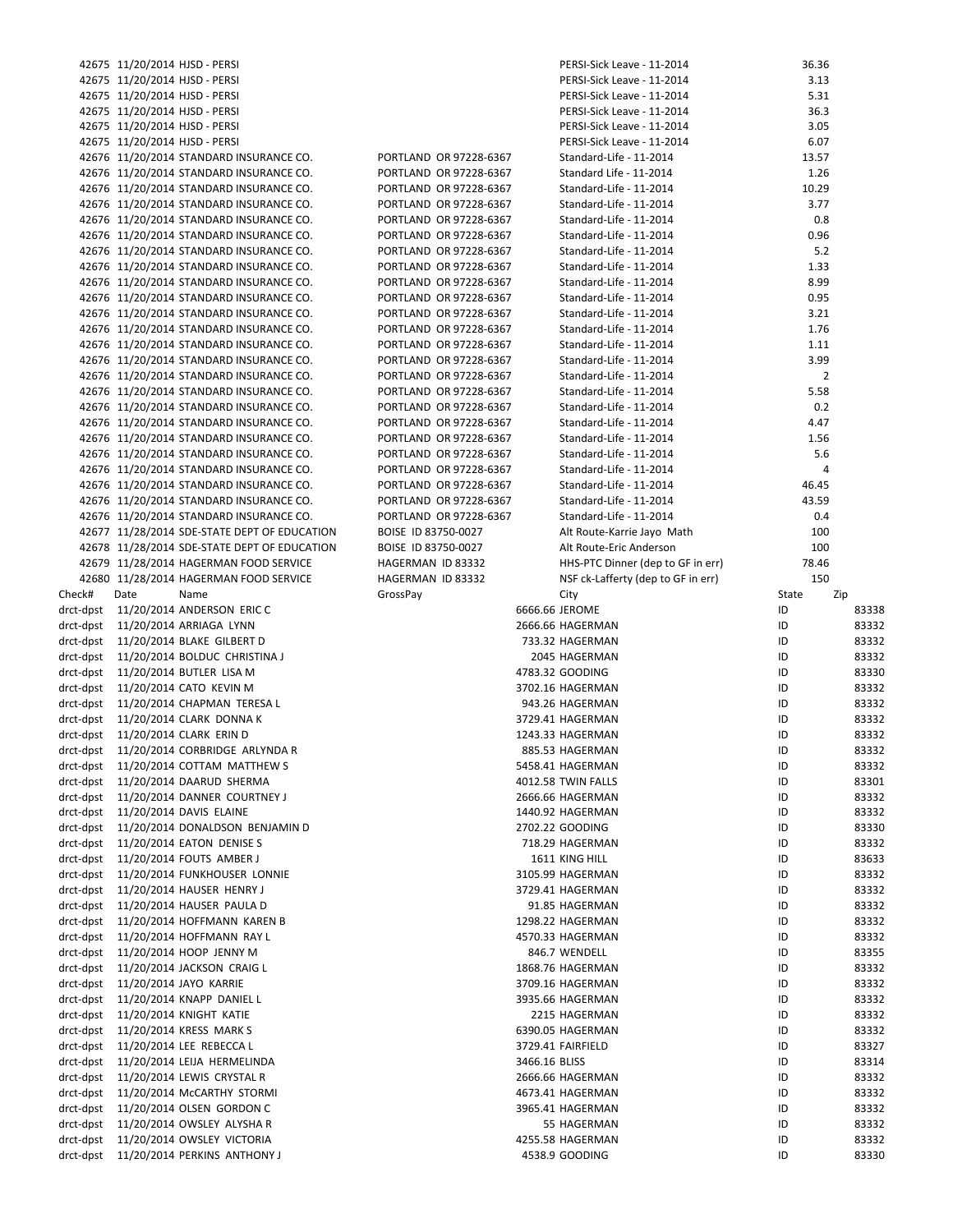|                                     |      | 42675 11/20/2014 HJSD - PERSI                |                        |               | PERSI-Sick Leave - 11-2014         | 36.36          |       |
|-------------------------------------|------|----------------------------------------------|------------------------|---------------|------------------------------------|----------------|-------|
|                                     |      | 42675 11/20/2014 HJSD - PERSI                |                        |               | PERSI-Sick Leave - 11-2014         | 3.13           |       |
|                                     |      | 42675 11/20/2014 HJSD - PERSI                |                        |               | PERSI-Sick Leave - 11-2014         | 5.31           |       |
|                                     |      | 42675 11/20/2014 HJSD - PERSI                |                        |               | PERSI-Sick Leave - 11-2014         | 36.3           |       |
|                                     |      | 42675 11/20/2014 HJSD - PERSI                |                        |               | PERSI-Sick Leave - 11-2014         | 3.05           |       |
|                                     |      | 42675 11/20/2014 HJSD - PERSI                |                        |               | PERSI-Sick Leave - 11-2014         | 6.07           |       |
|                                     |      | 42676 11/20/2014 STANDARD INSURANCE CO.      | PORTLAND OR 97228-6367 |               | Standard-Life - 11-2014            | 13.57          |       |
|                                     |      |                                              |                        |               |                                    |                |       |
|                                     |      | 42676 11/20/2014 STANDARD INSURANCE CO.      | PORTLAND OR 97228-6367 |               | Standard Life - 11-2014            | 1.26           |       |
|                                     |      | 42676 11/20/2014 STANDARD INSURANCE CO.      | PORTLAND OR 97228-6367 |               | Standard-Life - 11-2014            | 10.29          |       |
|                                     |      | 42676 11/20/2014 STANDARD INSURANCE CO.      | PORTLAND OR 97228-6367 |               | Standard-Life - 11-2014            | 3.77           |       |
|                                     |      | 42676 11/20/2014 STANDARD INSURANCE CO.      | PORTLAND OR 97228-6367 |               | Standard-Life - 11-2014            | 0.8            |       |
|                                     |      | 42676 11/20/2014 STANDARD INSURANCE CO.      | PORTLAND OR 97228-6367 |               | Standard-Life - 11-2014            | 0.96           |       |
|                                     |      | 42676 11/20/2014 STANDARD INSURANCE CO.      | PORTLAND OR 97228-6367 |               | Standard-Life - 11-2014            | 5.2            |       |
|                                     |      | 42676 11/20/2014 STANDARD INSURANCE CO.      | PORTLAND OR 97228-6367 |               | Standard-Life - 11-2014            | 1.33           |       |
|                                     |      | 42676 11/20/2014 STANDARD INSURANCE CO.      | PORTLAND OR 97228-6367 |               | Standard-Life - 11-2014            | 8.99           |       |
|                                     |      | 42676 11/20/2014 STANDARD INSURANCE CO.      | PORTLAND OR 97228-6367 |               | Standard-Life - 11-2014            | 0.95           |       |
|                                     |      | 42676 11/20/2014 STANDARD INSURANCE CO.      | PORTLAND OR 97228-6367 |               | Standard-Life - 11-2014            | 3.21           |       |
|                                     |      |                                              |                        |               |                                    |                |       |
|                                     |      | 42676 11/20/2014 STANDARD INSURANCE CO.      | PORTLAND OR 97228-6367 |               | Standard-Life - 11-2014            | 1.76           |       |
|                                     |      | 42676 11/20/2014 STANDARD INSURANCE CO.      | PORTLAND OR 97228-6367 |               | Standard-Life - 11-2014            | 1.11           |       |
|                                     |      | 42676 11/20/2014 STANDARD INSURANCE CO.      | PORTLAND OR 97228-6367 |               | Standard-Life - 11-2014            | 3.99           |       |
|                                     |      | 42676 11/20/2014 STANDARD INSURANCE CO.      | PORTLAND OR 97228-6367 |               | Standard-Life - 11-2014            | $\overline{2}$ |       |
|                                     |      | 42676 11/20/2014 STANDARD INSURANCE CO.      | PORTLAND OR 97228-6367 |               | Standard-Life - 11-2014            | 5.58           |       |
|                                     |      | 42676 11/20/2014 STANDARD INSURANCE CO.      | PORTLAND OR 97228-6367 |               | Standard-Life - 11-2014            | 0.2            |       |
|                                     |      | 42676 11/20/2014 STANDARD INSURANCE CO.      | PORTLAND OR 97228-6367 |               | Standard-Life - 11-2014            | 4.47           |       |
|                                     |      | 42676 11/20/2014 STANDARD INSURANCE CO.      | PORTLAND OR 97228-6367 |               | Standard-Life - 11-2014            | 1.56           |       |
|                                     |      | 42676 11/20/2014 STANDARD INSURANCE CO.      | PORTLAND OR 97228-6367 |               | Standard-Life - 11-2014            | 5.6            |       |
|                                     |      | 42676 11/20/2014 STANDARD INSURANCE CO.      | PORTLAND OR 97228-6367 |               | Standard-Life - 11-2014            | 4              |       |
|                                     |      | 42676 11/20/2014 STANDARD INSURANCE CO.      |                        |               |                                    |                |       |
|                                     |      |                                              | PORTLAND OR 97228-6367 |               | Standard-Life - 11-2014            | 46.45          |       |
|                                     |      | 42676 11/20/2014 STANDARD INSURANCE CO.      | PORTLAND OR 97228-6367 |               | Standard-Life - 11-2014            | 43.59          |       |
|                                     |      | 42676 11/20/2014 STANDARD INSURANCE CO.      | PORTLAND OR 97228-6367 |               | Standard-Life - 11-2014            | 0.4            |       |
|                                     |      | 42677 11/28/2014 SDE-STATE DEPT OF EDUCATION | BOISE ID 83750-0027    |               | Alt Route-Karrie Jayo Math         | 100            |       |
|                                     |      | 42678 11/28/2014 SDE-STATE DEPT OF EDUCATION | BOISE ID 83750-0027    |               | Alt Route-Eric Anderson            | 100            |       |
|                                     |      | 42679 11/28/2014 HAGERMAN FOOD SERVICE       | HAGERMAN ID 83332      |               | HHS-PTC Dinner (dep to GF in err)  | 78.46          |       |
|                                     |      | 42680 11/28/2014 HAGERMAN FOOD SERVICE       | HAGERMAN ID 83332      |               | NSF ck-Lafferty (dep to GF in err) | 150            |       |
| Check#                              | Date | Name                                         | GrossPay               |               | City                               | State          | Zip   |
| drct-dpst                           |      | 11/20/2014 ANDERSON ERIC C                   |                        |               | 6666.66 JEROME                     | ID             | 83338 |
|                                     |      | drct-dpst 11/20/2014 ARRIAGA LYNN            |                        |               | 2666.66 HAGERMAN                   | ID             | 83332 |
|                                     |      |                                              |                        |               |                                    |                |       |
| drct-dpst                           |      | 11/20/2014 BLAKE GILBERT D                   |                        |               | 733.32 HAGERMAN                    | ID             | 83332 |
|                                     |      | drct-dpst 11/20/2014 BOLDUC CHRISTINA J      |                        |               | 2045 HAGERMAN                      | ID             | 83332 |
|                                     |      | drct-dpst 11/20/2014 BUTLER LISA M           |                        |               | 4783.32 GOODING                    | ID             | 83330 |
|                                     |      | drct-dpst 11/20/2014 CATO KEVIN M            |                        |               | 3702.16 HAGERMAN                   | ID             | 83332 |
|                                     |      | drct-dpst 11/20/2014 CHAPMAN TERESA L        |                        |               | 943.26 HAGERMAN                    | ID             | 83332 |
|                                     |      | drct-dpst 11/20/2014 CLARK DONNA K           |                        |               | 3729.41 HAGERMAN                   | ID             | 83332 |
|                                     |      | drct-dpst 11/20/2014 CLARK ERIN D            |                        |               | 1243.33 HAGERMAN                   | ID             | 83332 |
|                                     |      | drct-dpst 11/20/2014 CORBRIDGE ARLYNDA R     |                        |               | 885.53 HAGERMAN                    | ID             | 83332 |
|                                     |      | drct-dpst 11/20/2014 COTTAM MATTHEW S        |                        |               | 5458.41 HAGERMAN                   | ID             | 83332 |
| drct-dpst                           |      | 11/20/2014 DAARUD SHERMA                     |                        |               |                                    | ID             | 83301 |
|                                     |      |                                              |                        |               | 4012.58 TWIN FALLS                 |                |       |
| drct-dpst                           |      | 11/20/2014 DANNER COURTNEY J                 |                        |               | 2666.66 HAGERMAN                   | ID             | 83332 |
| drct-dpst                           |      | 11/20/2014 DAVIS ELAINE                      |                        |               | 1440.92 HAGERMAN                   | ID             | 83332 |
| drct-dpst                           |      | 11/20/2014 DONALDSON BENJAMIN D              |                        |               | 2702.22 GOODING                    | ID             | 83330 |
| drct-dpst                           |      | 11/20/2014 EATON DENISE S                    |                        |               | 718.29 HAGERMAN                    | ID             | 83332 |
|                                     |      | drct-dpst 11/20/2014 FOUTS AMBER J           |                        |               | 1611 KING HILL                     | ID             | 83633 |
| drct-dpst                           |      | 11/20/2014 FUNKHOUSER LONNIE                 |                        |               | 3105.99 HAGERMAN                   | ID             | 83332 |
| drct-dpst                           |      | 11/20/2014 HAUSER HENRY J                    |                        |               | 3729.41 HAGERMAN                   | ID             | 83332 |
| drct-dpst                           |      | 11/20/2014 HAUSER PAULA D                    |                        |               | 91.85 HAGERMAN                     | ID             | 83332 |
| drct-dpst                           |      |                                              |                        |               |                                    |                |       |
| drct-dpst                           |      |                                              |                        |               |                                    |                |       |
|                                     |      | 11/20/2014 HOFFMANN KAREN B                  |                        |               | 1298.22 HAGERMAN                   | ID             | 83332 |
| drct-dpst                           |      | 11/20/2014 HOFFMANN RAY L                    |                        |               | 4570.33 HAGERMAN                   | ID             | 83332 |
| drct-dpst                           |      | 11/20/2014 HOOP JENNY M                      |                        |               | 846.7 WENDELL                      | ID             | 83355 |
|                                     |      | 11/20/2014 JACKSON CRAIG L                   |                        |               | 1868.76 HAGERMAN                   | ID             | 83332 |
| drct-dpst                           |      | 11/20/2014 JAYO KARRIE                       |                        |               | 3709.16 HAGERMAN                   | ID             | 83332 |
| drct-dpst                           |      | 11/20/2014 KNAPP DANIEL L                    |                        |               | 3935.66 HAGERMAN                   | ID             | 83332 |
| drct-dpst                           |      | 11/20/2014 KNIGHT KATIE                      |                        |               | 2215 HAGERMAN                      | ID             | 83332 |
|                                     |      |                                              |                        |               |                                    |                |       |
|                                     |      | 11/20/2014 KRESS MARK S                      |                        |               | 6390.05 HAGERMAN                   | ID             | 83332 |
|                                     |      | 11/20/2014 LEE REBECCA L                     |                        |               | 3729.41 FAIRFIELD                  | ID             | 83327 |
| drct-dpst<br>drct-dpst<br>drct-dpst |      | 11/20/2014 LEIJA HERMELINDA                  |                        | 3466.16 BLISS |                                    | ID             | 83314 |
| drct-dpst                           |      | 11/20/2014 LEWIS CRYSTAL R                   |                        |               | 2666.66 HAGERMAN                   | ID             | 83332 |
| drct-dpst                           |      | 11/20/2014 McCARTHY STORMI                   |                        |               | 4673.41 HAGERMAN                   | ID             | 83332 |
|                                     |      | drct-dpst 11/20/2014 OLSEN GORDON C          |                        |               | 3965.41 HAGERMAN                   | ID             | 83332 |
| drct-dpst                           |      | 11/20/2014 OWSLEY ALYSHA R                   |                        |               | 55 HAGERMAN                        | ID             | 83332 |
| drct-dpst                           |      | 11/20/2014 OWSLEY VICTORIA                   |                        |               | 4255.58 HAGERMAN                   | ID             | 83332 |